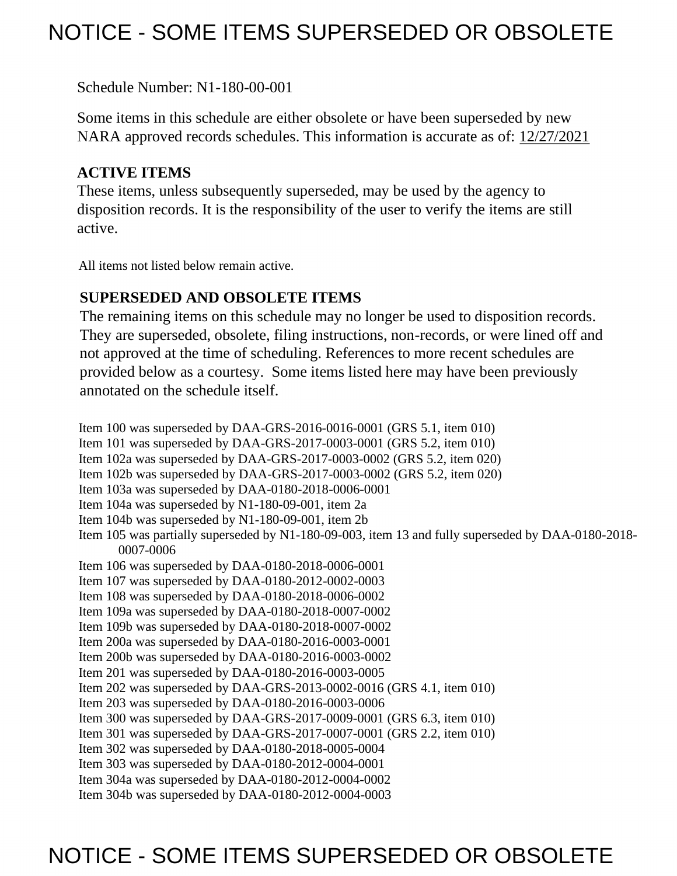# NOTICE - SOME ITEMS SUPERSEDED OR OBSOLETE

Schedule Number: N1-180-00-001

 Some items in this schedule are either obsolete or have been superseded by new NARA approved records schedules. This information is accurate as of: 12/27/2021

### **ACTIVE ITEMS**

 These items, unless subsequently superseded, may be used by the agency to disposition records. It is the responsibility of the user to verify the items are still active.

All items not listed below remain active.

### **SUPERSEDED AND OBSOLETE ITEMS**

 The remaining items on this schedule may no longer be used to disposition records. not approved at the time of scheduling. References to more recent schedules are provided below as a courtesy. Some items listed here may have been previously They are superseded, obsolete, filing instructions, non-records, or were lined off and annotated on the schedule itself.

Item 100 was superseded by DAA-GRS-2016-0016-0001 (GRS 5.1, item 010) Item 101 was superseded by DAA-GRS-2017-0003-0001 (GRS 5.2, item 010) Item 102a was superseded by DAA-GRS-2017-0003-0002 (GRS 5.2, item 020) Item 102b was superseded by DAA-GRS-2017-0003-0002 (GRS 5.2, item 020) Item 103a was superseded by DAA-0180-2018-0006-0001 Item 104a was superseded by N1-180-09-001, item 2a Item 104b was superseded by N1-180-09-001, item 2b Item 105 was partially superseded by N1-180-09-003, item 13 and fully superseded by DAA-0180-2018- 0007-0006 Item 106 was superseded by DAA-0180-2018-0006-0001 Item 107 was superseded by DAA-0180-2012-0002-0003 Item 108 was superseded by DAA-0180-2018-0006-0002 Item 109a was superseded by DAA-0180-2018-0007-0002 Item 109b was superseded by DAA-0180-2018-0007-0002 Item 200a was superseded by DAA-0180-2016-0003-0001 Item 200b was superseded by DAA-0180-2016-0003-0002 Item 201 was superseded by DAA-0180-2016-0003-0005 Item 202 was superseded by DAA-GRS-2013-0002-0016 (GRS 4.1, item 010) Item 203 was superseded by DAA-0180-2016-0003-0006 Item 300 was superseded by DAA-GRS-2017-0009-0001 (GRS 6.3, item 010) Item 301 was superseded by DAA-GRS-2017-0007-0001 (GRS 2.2, item 010) Item 302 was superseded by DAA-0180-2018-0005-0004 Item 303 was superseded by DAA-0180-2012-0004-0001 Item 304a was superseded by DAA-0180-2012-0004-0002 Item 304b was superseded by DAA-0180-2012-0004-0003

# NOTICE - SOME ITEMS SUPERSEDED OR OBSOLETE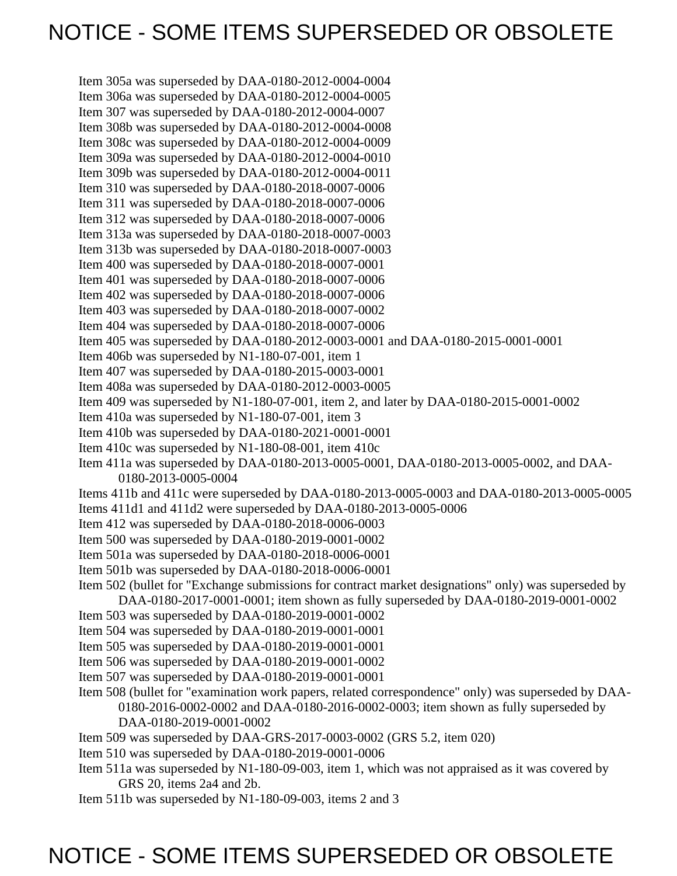# NOTICE - SOME ITEMS SUPERSEDED OR OBSOLETE

Item 305a was superseded by DAA-0180-2012-0004-0004 Item 306a was superseded by DAA-0180-2012-0004-0005 Item 307 was superseded by DAA-0180-2012-0004-0007 Item 308b was superseded by DAA-0180-2012-0004-0008 Item 308c was superseded by DAA-0180-2012-0004-0009 Item 309a was superseded by DAA-0180-2012-0004-0010 Item 309b was superseded by DAA-0180-2012-0004-0011 Item 310 was superseded by DAA-0180-2018-0007-0006 Item 311 was superseded by DAA-0180-2018-0007-0006 Item 312 was superseded by DAA-0180-2018-0007-0006 Item 313a was superseded by DAA-0180-2018-0007-0003 Item 313b was superseded by DAA-0180-2018-0007-0003 Item 400 was superseded by DAA-0180-2018-0007-0001 Item 401 was superseded by DAA-0180-2018-0007-0006 Item 402 was superseded by DAA-0180-2018-0007-0006 Item 403 was superseded by DAA-0180-2018-0007-0002 Item 404 was superseded by DAA-0180-2018-0007-0006 Item 405 was superseded by DAA-0180-2012-0003-0001 and DAA-0180-2015-0001-0001 Item 406b was superseded by N1-180-07-001, item 1 Item 407 was superseded by DAA-0180-2015-0003-0001 Item 408a was superseded by DAA-0180-2012-0003-0005 Item 409 was superseded by N1-180-07-001, item 2, and later by DAA-0180-2015-0001-0002 Item 410a was superseded by N1-180-07-001, item 3 Item 410b was superseded by DAA-0180-2021-0001-0001 Item 410c was superseded by N1-180-08-001, item 410c Item 411a was superseded by DAA-0180-2013-0005-0001, DAA-0180-2013-0005-0002, and DAA-0180-2013-0005-0004 Items 411b and 411c were superseded by DAA-0180-2013-0005-0003 and DAA-0180-2013-0005-0005 Items 411d1 and 411d2 were superseded by DAA-0180-2013-0005-0006 Item 412 was superseded by DAA-0180-2018-0006-0003 Item 500 was superseded by DAA-0180-2019-0001-0002 Item 501a was superseded by DAA-0180-2018-0006-0001 Item 501b was superseded by DAA-0180-2018-0006-0001 Item 502 (bullet for "Exchange submissions for contract market designations" only) was superseded by DAA-0180-2017-0001-0001; item shown as fully superseded by DAA-0180-2019-0001-0002 Item 503 was superseded by DAA-0180-2019-0001-0002 Item 504 was superseded by DAA-0180-2019-0001-0001 Item 505 was superseded by DAA-0180-2019-0001-0001 Item 506 was superseded by DAA-0180-2019-0001-0002 Item 507 was superseded by DAA-0180-2019-0001-0001 Item 508 (bullet for "examination work papers, related correspondence" only) was superseded by DAA-0180-2016-0002-0002 and DAA-0180-2016-0002-0003; item shown as fully superseded by DAA-0180-2019-0001-0002 Item 509 was superseded by DAA-GRS-2017-0003-0002 (GRS 5.2, item 020) Item 510 was superseded by DAA-0180-2019-0001-0006 Item 511a was superseded by N1-180-09-003, item 1, which was not appraised as it was covered by GRS 20, items 2a4 and 2b. Item 511b was superseded by N1-180-09-003, items 2 and 3

# NOTICE - SOME ITEMS SUPERSEDED OR OBSOLETE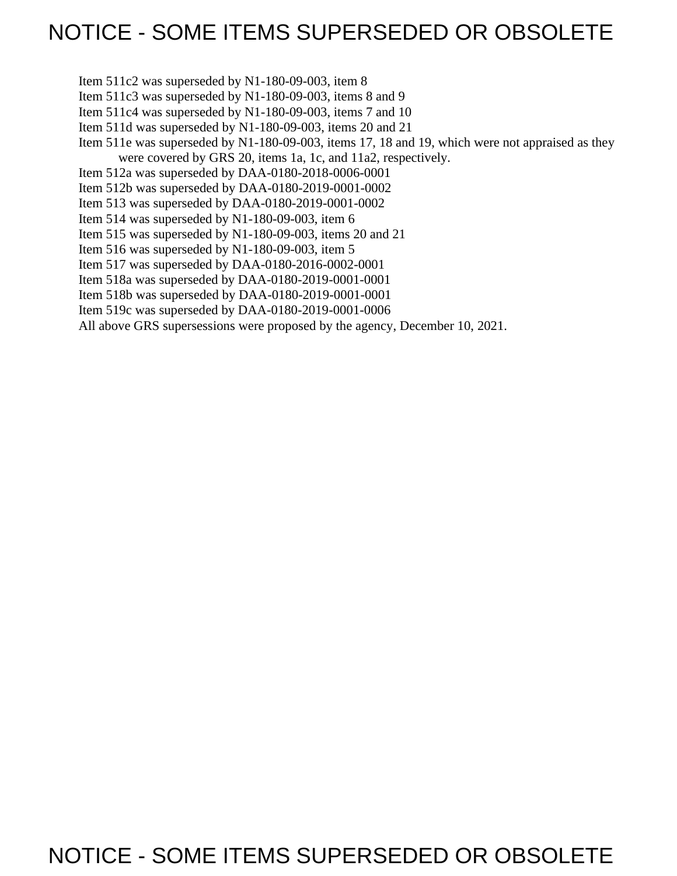# NOTICE - SOME ITEMS SUPERSEDED OR OBSOLETE

Item 511c2 was superseded by N1-180-09-003, item 8

Item 511c3 was superseded by N1-180-09-003, items 8 and 9

Item 511c4 was superseded by N1-180-09-003, items 7 and 10

Item 511d was superseded by N1-180-09-003, items 20 and 21

Item 511e was superseded by N1-180-09-003, items 17, 18 and 19, which were not appraised as they were covered by GRS 20, items 1a, 1c, and 11a2, respectively.

Item 512a was superseded by DAA-0180-2018-0006-0001

Item 512b was superseded by DAA-0180-2019-0001-0002

Item 513 was superseded by DAA-0180-2019-0001-0002

Item 514 was superseded by N1-180-09-003, item 6

Item 515 was superseded by N1-180-09-003, items 20 and 21

Item 516 was superseded by N1-180-09-003, item 5

Item 517 was superseded by DAA-0180-2016-0002-0001

Item 518a was superseded by DAA-0180-2019-0001-0001

Item 518b was superseded by DAA-0180-2019-0001-0001

Item 519c was superseded by DAA-0180-2019-0001-0006

All above GRS supersessions were proposed by the agency, December 10, 2021.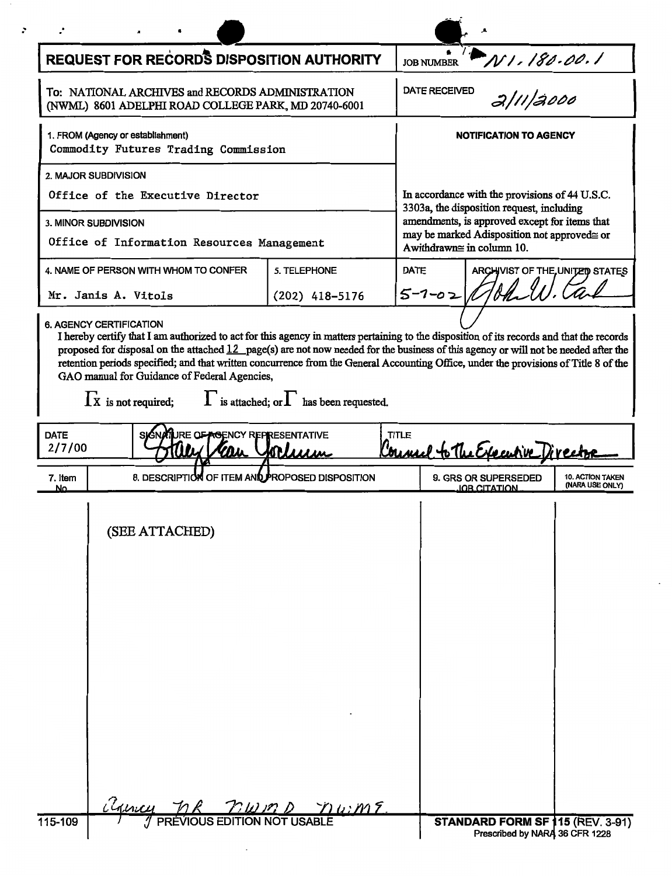|                       | <b>REQUEST FOR RECORDS DISPOSITION AUTHORITY</b>                                                                                                                                                                                                                                                                                                                                                                                                                                                                                                                                                 |                                                                                                                                                                        | <b>JOB NUMBER</b>                              | N1.180.00.1                                                        |                                            |
|-----------------------|--------------------------------------------------------------------------------------------------------------------------------------------------------------------------------------------------------------------------------------------------------------------------------------------------------------------------------------------------------------------------------------------------------------------------------------------------------------------------------------------------------------------------------------------------------------------------------------------------|------------------------------------------------------------------------------------------------------------------------------------------------------------------------|------------------------------------------------|--------------------------------------------------------------------|--------------------------------------------|
|                       | To: NATIONAL ARCHIVES and RECORDS ADMINISTRATION<br>(NWML) 8601 ADELPHI ROAD COLLEGE PARK, MD 20740-6001                                                                                                                                                                                                                                                                                                                                                                                                                                                                                         |                                                                                                                                                                        | <b>DATE RECEIVED</b>                           | 2/11/2000                                                          |                                            |
|                       | 1. FROM (Agency or establishment)<br>Commodity Futures Trading Commission                                                                                                                                                                                                                                                                                                                                                                                                                                                                                                                        |                                                                                                                                                                        |                                                | <b>NOTIFICATION TO AGENCY</b>                                      |                                            |
|                       | 2. MAJOR SUBDIVISION                                                                                                                                                                                                                                                                                                                                                                                                                                                                                                                                                                             |                                                                                                                                                                        |                                                |                                                                    |                                            |
|                       | Office of the Executive Director                                                                                                                                                                                                                                                                                                                                                                                                                                                                                                                                                                 |                                                                                                                                                                        | In accordance with the provisions of 44 U.S.C. |                                                                    |                                            |
|                       | <b>3. MINOR SUBDIVISION</b><br>Office of Information Resources Management                                                                                                                                                                                                                                                                                                                                                                                                                                                                                                                        | 3303a, the disposition request, including<br>amendments, is approved except for items that<br>may be marked Adisposition not approved≅ or<br>Awithdrawn≅ in column 10. |                                                |                                                                    |                                            |
|                       | 4. NAME OF PERSON WITH WHOM TO CONFER                                                                                                                                                                                                                                                                                                                                                                                                                                                                                                                                                            | <b>DATE</b>                                                                                                                                                            | ARCHIVIST OF THE UNITED STATES                 |                                                                    |                                            |
|                       | Mr. Janis A. Vitols                                                                                                                                                                                                                                                                                                                                                                                                                                                                                                                                                                              | $5 - 1 - 02$                                                                                                                                                           | $\mathcal{A}$ $\mathcal{A}$                    |                                                                    |                                            |
| <b>DATE</b><br>2/7/00 | I hereby certify that I am authorized to act for this agency in matters pertaining to the disposition of its records and that the records<br>proposed for disposal on the attached $12$ page(s) are not now needed for the business of this agency or will not be needed after the<br>retention periods specified; and that written concurrence from the General Accounting Office, under the provisions of Title 8 of the<br>GAO manual for Guidance of Federal Agencies,<br>$\prod$ is not required; $\prod$ is attached; or $\prod$ has been requested.<br>SIGNATURE OF AGENCY REPRESENTATIVE | TITLE                                                                                                                                                                  | Council to The Executive Direct                |                                                                    |                                            |
| 7. Item               | 8. DESCRIPTION OF ITEM AND PROPOSED DISPOSITION                                                                                                                                                                                                                                                                                                                                                                                                                                                                                                                                                  |                                                                                                                                                                        |                                                | 9. GRS OR SUPERSEDED                                               | <b>10. ACTION TAKEN</b><br>(NARA USE ONLY) |
| NΩ                    | (SEE ATTACHED)                                                                                                                                                                                                                                                                                                                                                                                                                                                                                                                                                                                   |                                                                                                                                                                        |                                                | IOB CITATION                                                       |                                            |
| 115-109               | $\frac{(\mathcal{U}_{\mathcal{U}},\mathcal{U}_{\mathcal{U}})}{\mathcal{U}_{\mathcal{U}}+\mathcal{U}_{\mathcal{U}}+\mathcal{U}_{\mathcal{U}}}}=\frac{(\mathcal{U}_{\mathcal{U}},\mathcal{U}_{\mathcal{U}})}{\mathcal{U}_{\mathcal{U}}+\mathcal{U}_{\mathcal{U}}+\mathcal{U}_{\mathcal{U}}}\mathcal{U}_{\mathcal{U}}+\frac{(\mathcal{U}_{\mathcal{U}})}{\mathcal{U}_{\mathcal{U}}+\mathcal{U}_{\mathcal{U}}}\mathcal{U}_{\mathcal{U}}+\frac{(\mathcal{U}_{\mathcal{U}})}{\mathcal{U}_{\mathcal{U$                                                                                                  |                                                                                                                                                                        |                                                | STANDARD FORM SF 115 (REV. 3-91)<br>Prescribed by NARA 36 CFR 1228 |                                            |

 $\overline{\phantom{a}}$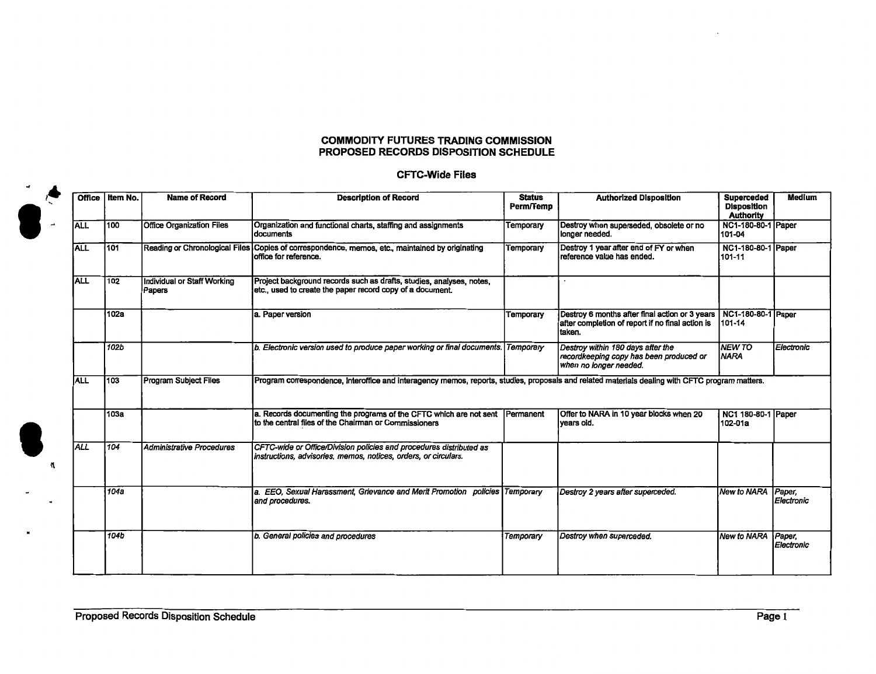#### **COMMODITY FUTURES TRADING COMMISSION PROPOSED RECORDS DISPOSITION SCHEDULE**

### **CFTC-Wide Files**

| <b>Office</b> | Item No. | <b>Name of Record</b>                 | <b>Description of Record</b>                                                                                                                    | <b>Status</b><br>Perm/Femp | <b>Authorized Disposition</b>                                                                                | <b>Superceded</b><br><b>Disposition</b><br><b>Authority</b> | <b>Medium</b>        |
|---------------|----------|---------------------------------------|-------------------------------------------------------------------------------------------------------------------------------------------------|----------------------------|--------------------------------------------------------------------------------------------------------------|-------------------------------------------------------------|----------------------|
| <b>ALL</b>    | 100      | <b>Office Organization Files</b>      | Organization and functional charts, staffing and assignments<br><b>documents</b>                                                                | Temporary                  | Destroy when superseded, obsolete or no<br>longer needed.                                                    | NC1-180-80-1 Paper<br>101-04                                |                      |
| <b>ALL</b>    | 101      |                                       | Reading or Chronological Files Copies of correspondence, memos, etc., maintained by originating<br>office for reference.                        | Temporary                  | Destroy 1 year after end of FY or when<br>reference value has ended.                                         | NC1-180-80-1 Paper<br>101-11                                |                      |
| <b>ALL</b>    | 102      | Individual or Staff Working<br>Papers | Project background records such as drafts, studies, analyses, notes,<br>etc., used to create the paper record copy of a document.               |                            |                                                                                                              |                                                             |                      |
|               | 102a     |                                       | a. Paper version                                                                                                                                | Temporary                  | Destroy 6 months after final action or 3 years<br>after completion of report if no final action is<br>taken. | NC1-180-80-1 Paper<br>101-14                                |                      |
|               | 102b     |                                       | b. Electronic version used to produce paper working or final documents. Temporary                                                               |                            | Destroy within 180 days after the<br>recordkeeping copy has been produced or<br>when no longer needed.       | <b>NEW TO</b><br><b>NARA</b>                                | Electronic           |
| lall          | 103      | <b>Program Subject Files</b>          | Program correspondence, interoffice and interagency memos, reports, studies, proposals and related materials dealing with CFTC program matters. |                            |                                                                                                              |                                                             |                      |
|               | 103a     |                                       | a. Records documenting the programs of the CFTC which are not sent<br>to the central files of the Chairman or Commissioners                     | Permanent                  | Offer to NARA in 10 year blocks when 20<br>vears oid.                                                        | NC1 180-80-1 Paper<br>102-01a                               |                      |
| <b>ALL</b>    | 104      | Administrative Procedures             | CFTC-wide or Office/Division policies and procedures distributed as<br>instructions, advisories, memos, notices, orders, or circulars.          |                            |                                                                                                              |                                                             |                      |
|               | 104a     |                                       | a. EEO, Sexual Harassment, Grievance and Merit Promotion policies Temporary<br>and procedures.                                                  |                            | Destroy 2 years after superceded.                                                                            | New to NARA                                                 | Paper,<br>Electronic |
|               | 104b     |                                       | b. General policies and procedures                                                                                                              | Temporary                  | Destroy when superceded.                                                                                     | <b>New to NARA</b>                                          | Paper,<br>Electronic |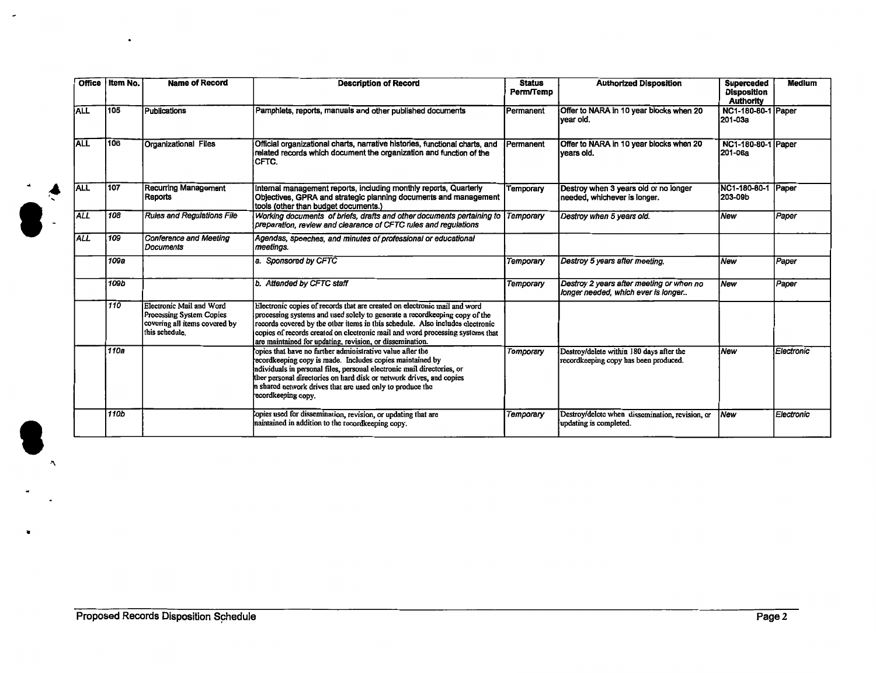| <b>Office</b> | Item No.    | <b>Name of Record</b>                                                                                         | <b>Description of Record</b>                                                                                                                                                                                                                                                                                                                                                           | <b>Status</b><br>Perm/Temp | <b>Authorized Disposition</b>                                                     | <b>Superceded</b><br><b>Disposition</b><br><b>Authority</b> | <b>Medium</b> |
|---------------|-------------|---------------------------------------------------------------------------------------------------------------|----------------------------------------------------------------------------------------------------------------------------------------------------------------------------------------------------------------------------------------------------------------------------------------------------------------------------------------------------------------------------------------|----------------------------|-----------------------------------------------------------------------------------|-------------------------------------------------------------|---------------|
| <b>ALL</b>    | 1105        | <b>Publications</b>                                                                                           | Pamphlets, reports, manuals and other published documents                                                                                                                                                                                                                                                                                                                              | Permanent                  | Offer to NARA in 10 year blocks when 20<br>Ívear old.                             | <b>NC1-180-80-1 Paper</b><br>i201-03a                       |               |
| <b>ALL</b>    | 106         | <b>Organizational Files</b>                                                                                   | Official organizational charts, narrative histories, functional charts, and<br>related records which document the organization and function of the<br>CFTC.                                                                                                                                                                                                                            | Permanent                  | Offer to NARA in 10 year blocks when 20<br>lvears old.                            | NC1-180-80-1 Paper<br>1201-06a                              |               |
| <b>ALL</b>    | 107         | <b>Recurring Management</b><br>Reports                                                                        | Internal management reports, including monthly reports, Quarterly<br>Objectives, GPRA and strategic planning documents and management<br>tools (other than budget documents.)                                                                                                                                                                                                          | Temporary                  | Destroy when 3 years old or no longer<br>needed, whichever is longer.             | NC1-180-80-1 Paper<br>l203-09b                              |               |
| ALL           | 108         | <b>Rules and Regulations File</b>                                                                             | Working documents of briefs, drafts and other documents pertaining to<br>preparation, review and clearance of CFTC rules and regulations                                                                                                                                                                                                                                               | Temporary                  | Destroy when 5 years old.                                                         | <i>New</i>                                                  | Paper         |
| <b>ALL</b>    | 109         | <b>Conference and Meeting</b><br><i>Documents</i>                                                             | Agendas, speeches, and minutes of professional or educational<br>meetings.                                                                                                                                                                                                                                                                                                             |                            |                                                                                   |                                                             |               |
|               | 109a        |                                                                                                               | a. Sponsored by CFTC                                                                                                                                                                                                                                                                                                                                                                   | Temporary                  | Destroy 5 years after meeting.                                                    | <b>New</b>                                                  | Paper         |
|               | 109b        |                                                                                                               | b. Attended by CFTC staff                                                                                                                                                                                                                                                                                                                                                              | <b>Temporary</b>           | Destroy 2 years after meeting or when no<br>longer needed, which ever is longer   | <b>New</b>                                                  | Paper         |
|               | 110         | <b>Electronic Mail and Word</b><br>Processing System Copies<br>covering all items covered by<br>this schedule | Electronic copies of records that are created on electronic mail and word<br>processing systems and used solely to generate a record keeping copy of the<br>records covered by the other items in this schedule. Also includes electronic<br>copies of records created on electronic mail and word processing systems that<br>are maintained for undating, revision, or dissemination. |                            |                                                                                   |                                                             |               |
|               | 110a        |                                                                                                               | opics that have no further administrative value after the<br>ecord keeping copy is made. Includes copies maintained by<br>ndividuals in personal files, personal electronic mail directories, or<br>ther personal directories on hard disk or network drives, and copies<br>shared network drives that are used only to produce the<br>ecordkeeping copy.                              | Temporary                  | Destroy/delete within 180 days after the<br>recordkeeping copy has been produced. | <i>New</i>                                                  | Electronic    |
|               | <b>110b</b> |                                                                                                               | copies used for dissemination, revision, or updating that are<br>maintained in addition to the record keeping copy.                                                                                                                                                                                                                                                                    | Temporary                  | Destroy/delete when dissemination, revision, or<br>updating is completed.         | <b>New</b>                                                  | Electronic    |

 $\overline{\phantom{a}}$ 

 $\bullet$ 

'

•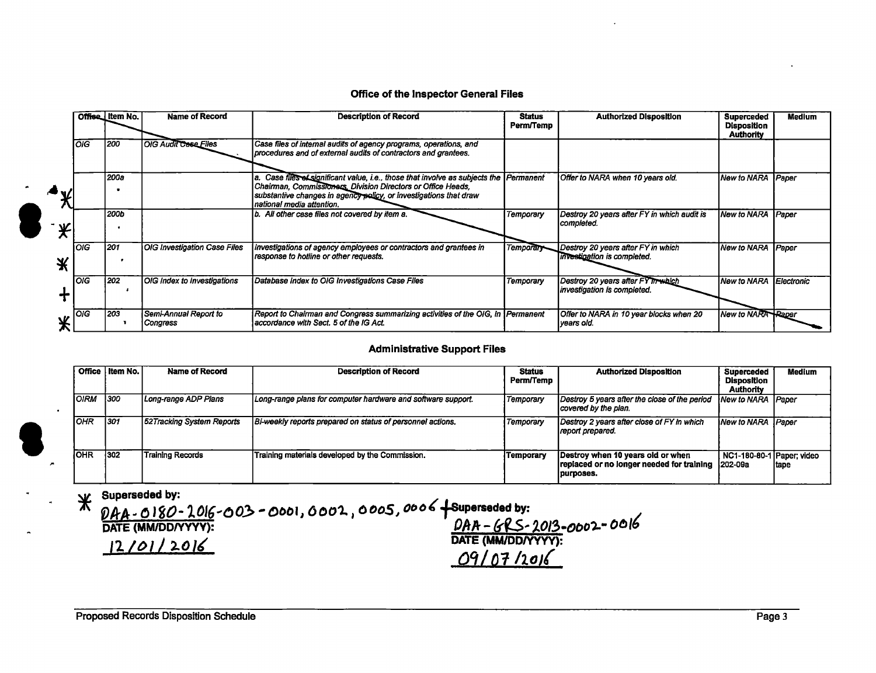#### **Office of the Inspector General Files**

|   |       | Offise Item No. | <b>Name of Record</b>             | <b>Description of Record</b>                                                                                                                                                                                                                   | <b>Status</b><br>Perm/Temp | <b>Authorized Disposition</b>                                     | <b>Superceded</b><br><b>Disposition</b><br><b>Authority</b> | <b>Medium</b> |
|---|-------|-----------------|-----------------------------------|------------------------------------------------------------------------------------------------------------------------------------------------------------------------------------------------------------------------------------------------|----------------------------|-------------------------------------------------------------------|-------------------------------------------------------------|---------------|
|   | loıg  | 1200            | <b>OIG Audit Case Files</b>       | Case files of internal audits of agency programs, operations, and<br>procedures and of external audits of contractors and grantees.                                                                                                            |                            |                                                                   |                                                             |               |
|   |       | 1200a           |                                   | a. Case files et significant value, i.e., those that involve as subjects the<br>Chairman, Commissioners, Division Directors or Office Heads,<br>substantive changes in agency policy, or investigations that draw<br>national media attention. | Permanent                  | Offer to NARA when 10 years old.                                  | New to NARA                                                 | Paper         |
| ¥ |       | l 200b          |                                   | b. All other case files not covered by item a.                                                                                                                                                                                                 | Temporary                  | Destroy 20 years after FY in which audit is<br>completed.         | New to NARA                                                 | Paper         |
|   | loiG. | 1201            | OIG Investigation Case Files      | Investigations of agency employees or contractors and grantees in<br>response to hotline or other requests.                                                                                                                                    | Temporary                  | Destroy 20 years after FY in which<br>investigation is completed. | New to NARA                                                 | Paper         |
|   | loig  | 1202            | OIG Index to Investigations       | Database Index to OIG Investigations Case Files                                                                                                                                                                                                | Temporary                  | Destroy 20 years after FYTIT which<br>investigation is completed. | New to NARA                                                 | Electronic    |
|   | loig. | 203             | Semi-Annual Report to<br>Congress | Report to Chairman and Congress summarizing activities of the OIG, in [Permanent]<br>laccordance with Sect. 5 of the IG Act.                                                                                                                   |                            | Offer to NARA in 10 year blocks when 20<br>years old.             | New to NARA Raper                                           |               |

#### **Administrative Support Files**

|              | Office I Item No. | Name of Record            | <b>Description of Record</b>                                 | <b>Status</b><br>Perm/Temp | <b>Authorized Disposition</b>                                                                | Superceded<br>Disposition<br><b>Authority</b> | Medium       |
|--------------|-------------------|---------------------------|--------------------------------------------------------------|----------------------------|----------------------------------------------------------------------------------------------|-----------------------------------------------|--------------|
| <b>IOIRM</b> | 1300              | Long-range ADP Plans      | Long-range plans for computer hardware and software support. | Temporary                  | Destroy 5 years after the close of the period<br>covered by the plan.                        | New to NARA  Paper                            |              |
| IOHR.        | 1301              | 52Tracking System Reports | Bi-weekly reports prepared on status of personnel actions.   | Temporary                  | Destroy 2 years after close of FY in which<br>report prepared.                               | New to NARA                                   | <b>Paper</b> |
| <b>OHR</b>   | 1302              | Training Records          | Training materials developed by the Commission.              | Temporary                  | Destroy when 10 years old or when<br>replaced or no longer needed for training<br> purposes. | NC1-180-80-1 Paper; video<br>l202-09a         | tape         |

**Superseded by:** 

'iJPrA~ O *180-1016..,00J>-0001* <sup>1</sup>600'1., *0005* <sup>1</sup>*ooo(***fs\_uperseded by:** 

DATE (MM/DD/YYYY):<br>12/01/2016 *OC,/01 l101{*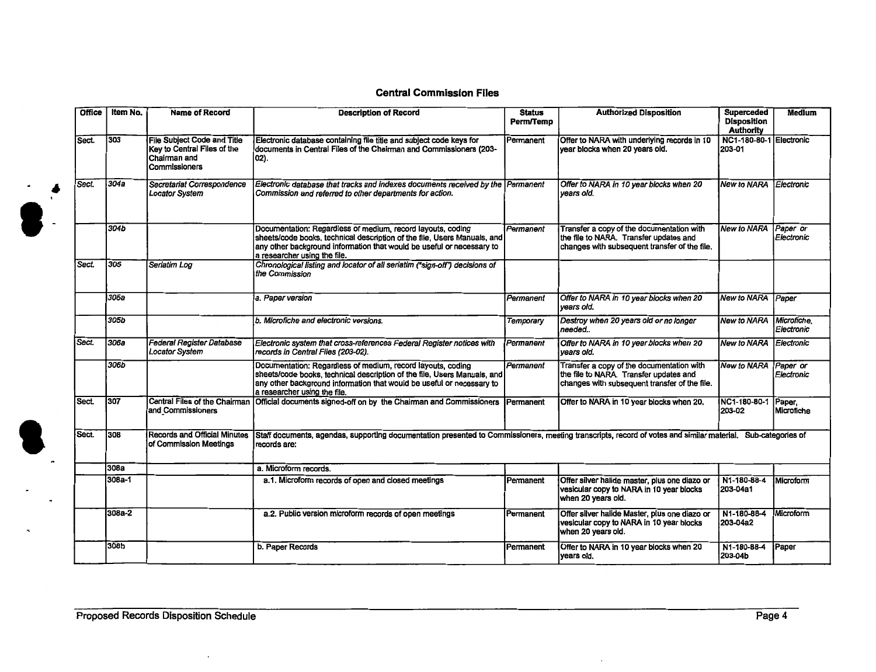### Central Commission Files

| Office | Item No.   | <b>Name of Record</b>                                                                                | <b>Description of Record</b>                                                                                                                                                                                                                     | <b>Status</b><br><b>Perm/Temp</b> | <b>Authorized Disposition</b>                                                                                                        | <b>Superceded</b><br><b>Disposition</b><br><b>Authority</b> | <b>Medium</b>             |
|--------|------------|------------------------------------------------------------------------------------------------------|--------------------------------------------------------------------------------------------------------------------------------------------------------------------------------------------------------------------------------------------------|-----------------------------------|--------------------------------------------------------------------------------------------------------------------------------------|-------------------------------------------------------------|---------------------------|
| Sect.  | 303        | <b>File Subject Code and Title</b><br>Key to Central Files of the<br>Chairman and<br>l Commissioners | Electronic database containing file title and subject code keys for<br>documents in Central Files of the Chairman and Commissioners (203-<br>$ 02\rangle$ .                                                                                      | Permanent                         | Offer to NARA with underlying records in 10<br>year blocks when 20 years old.                                                        | NC1-180-80-1 Electronic<br>203-01                           |                           |
| Sect.  | 304a       | Secretariat Correspondence<br>Locator System                                                         | Electronic database that tracks and indexes documents received by the Permanent<br>Commission and referred to other departments for action.                                                                                                      |                                   | Offer to NARA in 10 year blocks when 20<br>vears old.                                                                                | <b>New to NARA Electronic</b>                               |                           |
|        | 304b       |                                                                                                      | Documentation: Regardless of medium, record layouts, coding<br>sheets/code books, technical description of the file, Users Manuals, and<br>any other background information that would be useful or necessary to<br>a researcher using the file. | Permanent                         | Transfer a copy of the documentation with<br>the file to NARA. Transfer updates and<br>changes with subsequent transfer of the file. | <b>New to NARA</b>                                          | Paper or<br>Electronic    |
| Sect.  | 305        | Seriatim Log                                                                                         | Chronological listing and locator of all seriatim ("sign-off") decisions of<br>the Commission                                                                                                                                                    |                                   |                                                                                                                                      |                                                             |                           |
|        | 305a       |                                                                                                      | a. Paper version                                                                                                                                                                                                                                 | Permanent                         | Offer to NARA in 10 year blocks when 20<br>years old.                                                                                | New to NARA Paper                                           |                           |
|        | 305b       |                                                                                                      | b. Microfiche and electronic versions.                                                                                                                                                                                                           | Temporary                         | Destroy when 20 years old or no longer<br>Ineeded                                                                                    | <b>New to NARA</b>                                          | Microfiche,<br>Electronic |
| Sect.  | 306a       | Federal Register Database<br><b>Locator System</b>                                                   | Electronic system that cross-references Federal Register notices with<br>records in Central Files (203-02).                                                                                                                                      | Permanent                         | Offer to NARA in 10 year blocks when 20<br>vears old.                                                                                | <b>New to NARA</b>                                          | Electronic                |
|        | 306b       |                                                                                                      | Documentation: Regardless of medium, record layouts, coding<br>sheets/code books, technical description of the file, Users Manuals, and<br>any other background information that would be useful or necessary to<br>a researcher using the file. | Permanent                         | Transfer a copy of the documentation with<br>the file to NARA. Transfer updates and<br>changes with subsequent transfer of the file. | <b>New to NARA</b>                                          | Paper or<br>Electronic    |
| Sect.  | 307        | Central Files of the Chairman<br>and Commissioners                                                   | Official documents signed-off on by the Chairman and Commissioners                                                                                                                                                                               | Permanent                         | Offer to NARA in 10 year blocks when 20.                                                                                             | NC1-180-80-1<br>203-02                                      | Paper,<br>Microfiche      |
| Sect.  | 308        | Records and Official Minutes<br>of Commission Meetings                                               | Staff documents, agendas, supporting documentation presented to Commissioners, meeting transcripts, record of votes and similar material. Sub-categories of<br>records are:                                                                      |                                   |                                                                                                                                      |                                                             |                           |
|        | 308a       |                                                                                                      | a. Microform records.                                                                                                                                                                                                                            |                                   |                                                                                                                                      |                                                             |                           |
|        | $308a - 1$ |                                                                                                      | a.1. Microform records of open and closed meetings                                                                                                                                                                                               | Permanent                         | Offer silver halide master, plus one diazo or<br>vesicular copy to NARA in 10 year blocks<br>when 20 years old.                      | N1-180-88-4<br>203-04a1                                     | <b>IMicroform</b>         |
|        | 308a-2     |                                                                                                      | a.2. Public version microform records of open meetings                                                                                                                                                                                           | Permanent                         | Offer silver halide Master, plus one diazo or<br>vesicular copy to NARA in 10 year blocks<br>when 20 years old.                      | N1-180-88-4<br>203-04a2                                     | Microform                 |
|        | 308b       |                                                                                                      | b. Paper Records                                                                                                                                                                                                                                 | Permanent                         | Offer to NARA in 10 year blocks when 20<br>years old.                                                                                | N1-180-88-4<br>203-04b                                      | Paper                     |

 $\cdot$ 

 $\cdot$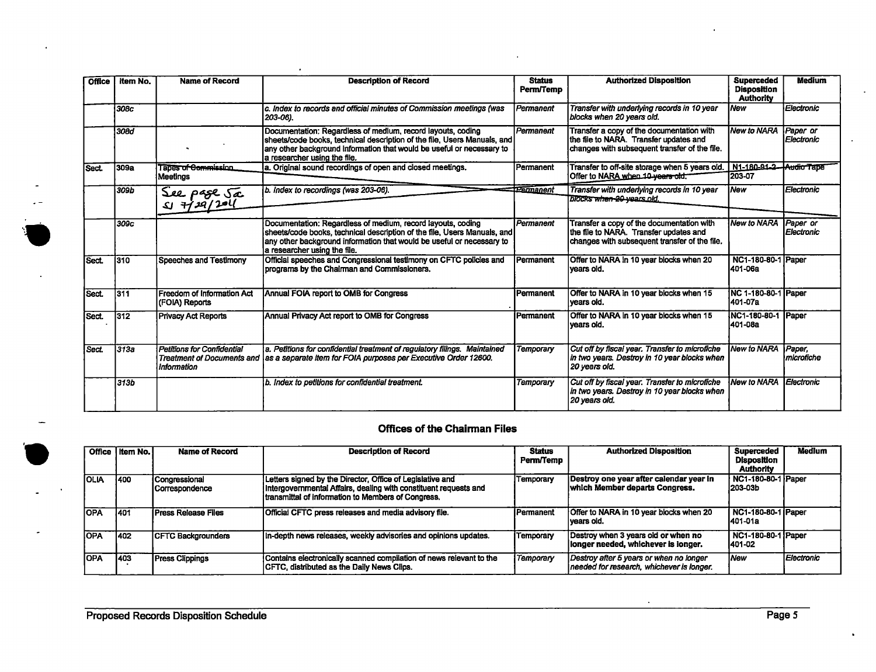| <b>Office</b> | Item No. | <b>Name of Record</b>                            | <b>Description of Record</b>                                                                                                                                                                                                                      | <b>Status</b><br>Perm/Temp | <b>Authorized Disposition</b>                                                                                                        | <b>Superceded</b><br><b>Disposition</b><br><b>Authority</b> | Medium                         |
|---------------|----------|--------------------------------------------------|---------------------------------------------------------------------------------------------------------------------------------------------------------------------------------------------------------------------------------------------------|----------------------------|--------------------------------------------------------------------------------------------------------------------------------------|-------------------------------------------------------------|--------------------------------|
|               | 308c     |                                                  | c. Index to records and official minutes of Commission meetings (was<br>203-06).                                                                                                                                                                  | Permanent                  | Transfer with underlying records in 10 year<br>blocks when 20 years old.                                                             | <b>New</b>                                                  | Electronic                     |
|               | 308d     |                                                  | Documentation: Regardless of medium, record layouts, coding<br>sheets/code books, technical description of the file, Users Manuals, and<br>any other background information that would be useful or necessary to<br>a researcher using the file.  | Permanent                  | Transfer a copy of the documentation with<br>the file to NARA. Transfer updates and<br>changes with subsequent transfer of the file. | <b>New to NARA</b>                                          | Paper or<br>Electronic         |
| Sect.         | 309a     | Tapes of Commission<br>l Meetinas                | a. Original sound recordings of open and closed meetings.                                                                                                                                                                                         | Permanent                  | Transfer to off-site storage when 5 years old. N1-180-91-2-Audio Tape<br>Offer to NARA when 10-years old.                            | 203-07                                                      |                                |
|               | 309b     | See page Ja<br>$51 + 129/201$                    | b. Index to recordings (was 203-06).                                                                                                                                                                                                              | <del>TPermanent</del>      | Transfer with underlying records in 10 year<br><b>DIOCKS when 20 years old.</b>                                                      | l New                                                       | Electronic                     |
|               | 309c     |                                                  | Documentation: Regardless of medium, record layouts, coding<br>sheets/code books, technical description of the file, Users Manuals, and<br>any other background information that would be useful or necessary to<br>la researcher usino the file. | Permanent                  | Transfer a copy of the documentation with<br>the file to NARA. Transfer updates and<br>changes with subsequent transfer of the file. | <b>New to NARA</b>                                          | Paper or<br><b>LElectronic</b> |
| Sect.         | 1310     | Speeches and Testimony                           | Official speeches and Congressional testimony on CFTC policies and<br>programs by the Chairman and Commissioners.                                                                                                                                 | Permanent                  | Offer to NARA in 10 year blocks when 20<br>Ivears old.                                                                               | NC1-180-80-1 Paper<br>l401-06a                              |                                |
| Sect.         | 1311     | Freedom of Information Act<br>(FOIA) Reports     | Annual FOIA report to OMB for Congress                                                                                                                                                                                                            | Permanent                  | Offer to NARA in 10 year blocks when 15<br>Ivears old.                                                                               | NC 1-180-80-1 Paper<br>1401-07a                             |                                |
| Sect.         | 1312     | <b>Privacy Act Reports</b>                       | Annual Privacy Act report to OMB for Congress                                                                                                                                                                                                     | Permanent                  | Offer to NARA in 10 year blocks when 15<br> years old.                                                                               | NC1-180-80-1<br>401-08a                                     | Paper                          |
| Sect.         | 313a     | <b>Petitions for Confidential</b><br>Information | a. Petitions for confidential treatment of regulatory filings. Maintained<br>Treatment of Documents and as a separate item for FOIA purposes per Executive Order 12600.                                                                           | <b>Temporary</b>           | Cut off by fiscal year. Transfer to microfiche<br>in two years. Destroy in 10 year blocks when<br>  20 years old.                    | <b>New to NARA</b>                                          | Paper.<br>microfiche           |
|               | 313b     |                                                  | b. Index to petitions for confidential treatment.                                                                                                                                                                                                 | Temporary                  | Cut off by fiscal year. Transfer to microfiche<br>in two years. Destroy in 10 year blocks when<br>  20 vears old.                    | <b>New to NARA</b>                                          | Electronic                     |

 $\bullet$ 

### **Offices of the Chairman Files**

|             | Office I Item No. I | <b>Name of Record</b>           | <b>Description of Record</b>                                                                                                                                                                | Status<br>Perm/Temp | <b>Authorized Disposition</b>                                                        | <b>Superceded</b><br>Disposition<br><b>Authority</b> | <b>Medium</b> |
|-------------|---------------------|---------------------------------|---------------------------------------------------------------------------------------------------------------------------------------------------------------------------------------------|---------------------|--------------------------------------------------------------------------------------|------------------------------------------------------|---------------|
| <b>OLIA</b> | 1400                | Congressional<br>Correspondence | Letters signed by the Director, Office of Legislative and<br>Intergovernmental Affairs, dealing with constituent requests and<br><b>Itransmittal of information to Members of Congress.</b> | Temporary           | Destroy one year after calendar year in<br>which Member departs Congress.            | NC1-180-80-1 Paper<br>l203-03b                       |               |
| <b>OPA</b>  | 1401                | <b>Press Release Files</b>      | <b>Official CFTC</b> press releases and media advisory file.                                                                                                                                | <b>Permanent</b>    | Offer to NARA in 10 year blocks when 20<br>lvears old.                               | NC1-180-80-1   Paper<br>1401-01a                     |               |
| lOPA        | 1402                | <b>ICFTC Backgrounders</b>      | In-depth news releases, weekly advisories and opinions updates.                                                                                                                             | Temporary           | Destroy when 3 years old or when no<br>llonger needed, whichever is longer.          | NC1-180-80-1 Paper<br>1401-02                        |               |
| <b>IOPA</b> | 1403                | <b>Press Clippings</b>          | Contains electronically scanned compilation of news relevant to the<br><b>ICFTC, distributed as the Daily News Clips.</b>                                                                   | Temporary           | Destroy after 5 years or when no longer<br>needed for research, whichever is longer. | <i><b>New</b></i>                                    | Electronic    |

 $\ddot{\phantom{a}}$ 

 $\sim$ 

 $\bullet$ 

 $\ddot{\phantom{a}}$ 

 $\mathbf{r}$ 

 $\mathcal{L}$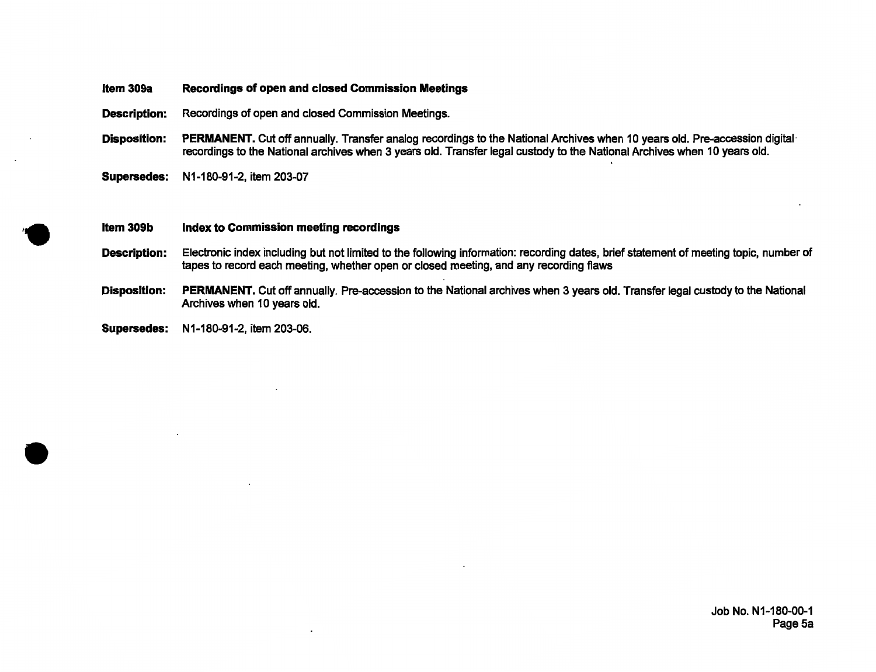#### **Item 309a Recordings of open and closed Commission Meetings**

**Description:** Recordings of open and closed Commission Meetings.

- Disposition: PERMANENT. Cut off annually. Transfer analog recordings to the National Archives when 10 years old. Pre-accession digital recordings to the National archives when 3 years old. Transfer legal custody to the National Archives when 10 years old.
- **Supersedes:** N1-180-91-2, item 203-07

#### **Item 309b Index to Commission meeting recordings**

- **Description:** Electronic index including but not limited to the following information: recording dates, brief statement of meeting topic, number of tapes to record each meeting, whether open or closed meeting, and any recording flaws
- **Disposition: PERMANENT.** Cut off annually. Pre-accession to the National archives when 3 years old. Transfer legal custody to the National Archives when 10 years old.
- **Supersedes:** N1-180-91-2, item 203-06 .

•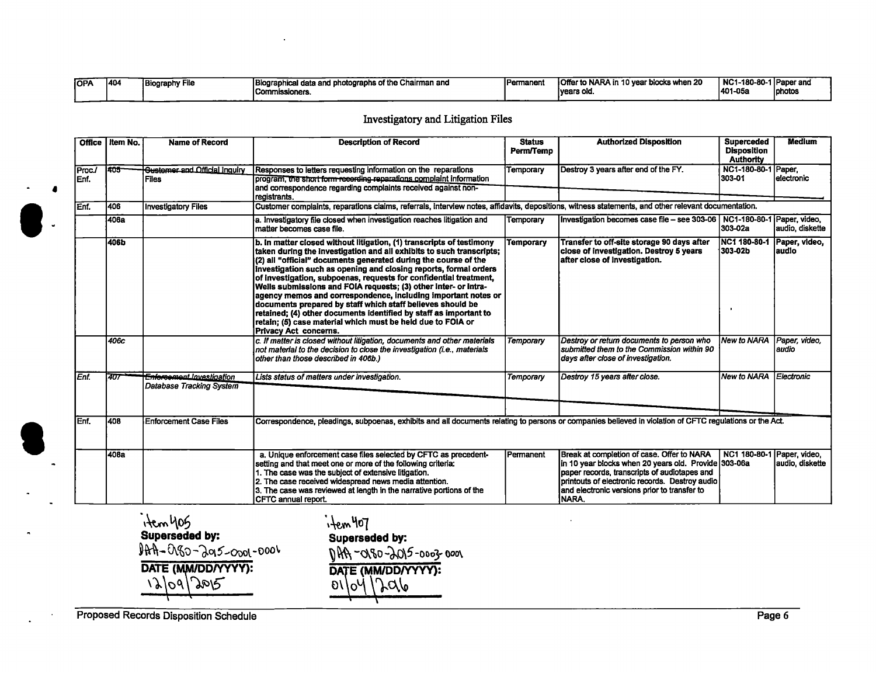| <b>TOPA</b> | 1404 | <b>Biography File</b> | Biographical data and photographs of the Chairman and | Permanen | Offer to NARA in 10 year blocks when 20 | NC1-180-80-1 Paper and |        |
|-------------|------|-----------------------|-------------------------------------------------------|----------|-----------------------------------------|------------------------|--------|
|             |      |                       | Commissioners.                                        |          | Tvears old.                             | 1401-05a               | photo: |

### Investigatory and Litigation Files

|                | Office   Item No. | <b>Name of Record</b>                                 | <b>Description of Record</b>                                                                                                                                                                                                                                                                                                                                                                                                                                                                                                                                                                                                                                                                                            | <b>Status</b><br>Perm/Temp | <b>Authorized Disposition</b>                                                                                                                                                                                                                                 | <b>Superceded</b><br><b>Disposition</b><br><b>Authority</b> | <b>Medium</b>                    |
|----------------|-------------------|-------------------------------------------------------|-------------------------------------------------------------------------------------------------------------------------------------------------------------------------------------------------------------------------------------------------------------------------------------------------------------------------------------------------------------------------------------------------------------------------------------------------------------------------------------------------------------------------------------------------------------------------------------------------------------------------------------------------------------------------------------------------------------------------|----------------------------|---------------------------------------------------------------------------------------------------------------------------------------------------------------------------------------------------------------------------------------------------------------|-------------------------------------------------------------|----------------------------------|
| Proc./<br>Enf. | 405               | <b>Gustemer and Official Inquiry</b><br><b>Files</b>  | Responses to letters requesting information on the reparations<br>program, the short form recording reparations complaint information<br>and correspondence regarding complaints received against non-<br>registrants.                                                                                                                                                                                                                                                                                                                                                                                                                                                                                                  | Temporary                  | Destroy 3 years after end of the FY.                                                                                                                                                                                                                          | NC1-180-80-1 Paper.<br>303-01                               | lelectronic                      |
| Enf.           | 1406              | <b>Investigatory Files</b>                            | Customer complaints, reparations claims, referrals, interview notes, affidavits, depositions, witness statements, and other relevant documentation.                                                                                                                                                                                                                                                                                                                                                                                                                                                                                                                                                                     |                            |                                                                                                                                                                                                                                                               |                                                             |                                  |
|                | l406a             |                                                       | a. Investigatory file closed when investigation reaches litigation and<br>matter becomes case file.                                                                                                                                                                                                                                                                                                                                                                                                                                                                                                                                                                                                                     | Temporary                  | Investigation becomes case file - see 303-06   NC1-180-80-1   Paper, video,                                                                                                                                                                                   | 303-02a                                                     | audio, diskette                  |
|                | 406b              |                                                       | b. In matter closed without litigation, (1) transcripts of testimony<br>taken during the investigation and all exhibits to such transcripts;<br>(2) all "official" documents generated during the course of the<br>Investigation such as opening and closing reports, formal orders<br>of investigation, subpoenas, requests for confidential treatment,<br>Wells submissions and FOIA requests; (3) other inter- or intra-<br>agency memos and correspondence, including important notes or<br>documents prepared by staff which staff believes should be<br>retained; (4) other documents identified by staff as important to<br>retain; (5) case material which must be held due to FOIA or<br>Privacy Act concerns. | Temporary                  | Transfer to off-site storage 90 days after<br>close of investigation. Destroy 5 years<br>after close of investigation.                                                                                                                                        | INC1 180-80-1<br>303-02b                                    | Paper, video,<br>laudio          |
|                | 406c              |                                                       | c. If matter is closed without litigation, documents and other materials<br>not material to the decision to close the investigation (i.e., materials<br>other than those described in 406b.)                                                                                                                                                                                                                                                                                                                                                                                                                                                                                                                            | Temporary                  | Destroy or return documents to person who<br>submitted them to the Commission within 90<br>days after close of investigation.                                                                                                                                 | New to NARA                                                 | Paper, video,<br>laudio          |
| Enf.           | 407               | Enforcement Investigation<br>Database Tracking System | Lists status of matters under investigation.                                                                                                                                                                                                                                                                                                                                                                                                                                                                                                                                                                                                                                                                            | Temporary                  | Destroy 15 years after close.                                                                                                                                                                                                                                 | New to NARA                                                 | Electronic                       |
| Enf.           | 1408              | <b>Enforcement Case Files</b>                         | Correspondence, pleadings, subpoenas, exhibits and all documents relating to persons or companies believed in violation of CFTC regulations or the Act.                                                                                                                                                                                                                                                                                                                                                                                                                                                                                                                                                                 |                            |                                                                                                                                                                                                                                                               |                                                             |                                  |
|                | 408a              |                                                       | a. Unique enforcement case files selected by CFTC as precedent-<br>setting and that meet one or more of the following criteria:<br>1. The case was the subject of extensive litigation.<br>2. The case received widespread news media attention.<br>3. The case was reviewed at length in the narrative portions of the<br><b>ICFTC annual report.</b>                                                                                                                                                                                                                                                                                                                                                                  | <b>IPermanent</b>          | Break at completion of case. Offer to NARA<br>in 10 year blocks when 20 years old. Provide 303-06a<br>paper records, transcripts of audiotapes and<br>printouts of electronic records. Destroy audio<br>and electronic versions prior to transfer to<br>NARA. | NC1 180-80-1                                                | Paper, video,<br>audio, diskette |

 $\int_{1}^{1}$  +  $\ell$ m 405<br>Superseded by: Superseded by: **Superseded by:**<br> **Superseded by:**<br> **Superseded by:**<br> **Superseded by:**<br> **Superseded by:**<br> **Superseded by:**<br> **Superseded by:**  $9hh$ -OGO-Ja15-0001-0001  $9hf_1$ -OGO-JO15-0003-0001 DATE (MM/DD/YYYY): **DATE (MM/DD/YYYY):**  $\frac{1200}{\sqrt{20}}$ 

Proposed Records Disposition Schedule Page 6

,. •

**e**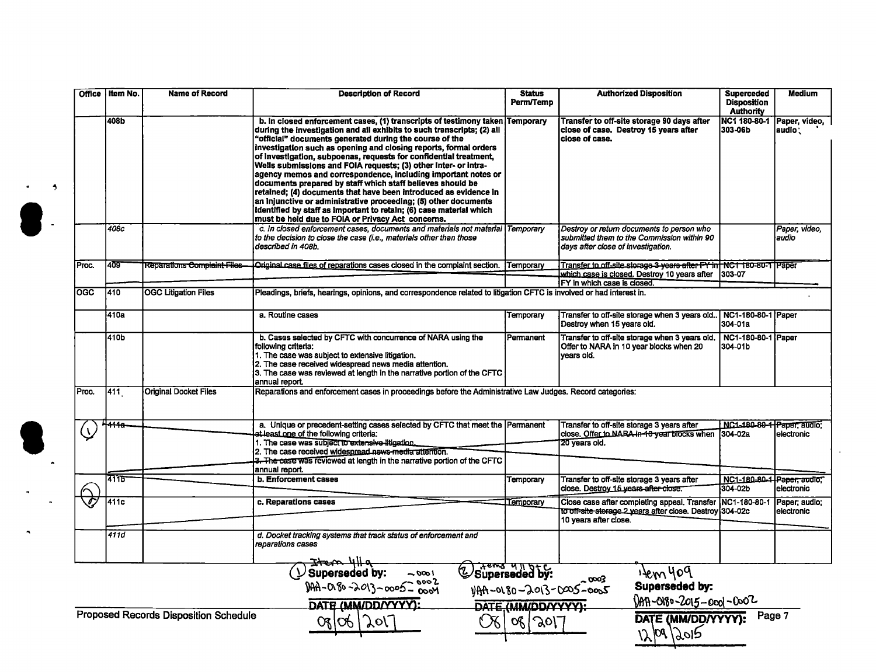|                         | Office I Item No. | <b>Name of Record</b>                        | <b>Description of Record</b>                                                                                                                                                                                                                                                                                                                                                                                                                                                                                                                                                                                                                                                                                                                                                                                          | <b>Status</b><br><b>Perm/Temp</b> | <b>Authorized Disposition</b>                                                                                                 | <b>Superceded</b><br><b>Disposition</b><br><b>Authority</b> | <b>Medium</b>               |
|-------------------------|-------------------|----------------------------------------------|-----------------------------------------------------------------------------------------------------------------------------------------------------------------------------------------------------------------------------------------------------------------------------------------------------------------------------------------------------------------------------------------------------------------------------------------------------------------------------------------------------------------------------------------------------------------------------------------------------------------------------------------------------------------------------------------------------------------------------------------------------------------------------------------------------------------------|-----------------------------------|-------------------------------------------------------------------------------------------------------------------------------|-------------------------------------------------------------|-----------------------------|
|                         | 408b              |                                              | b. In closed enforcement cases, (1) transcripts of testimony taken<br>during the investigation and all exhibits to such transcripts; (2) all<br>"official" documents generated during the course of the<br>investigation such as opening and closing reports, formal orders<br>of investigation, subpoenas, requests for confidential treatment,<br>Wells submissions and FOIA requests; (3) other inter- or intra-<br>agency memos and correspondence, including important notes or<br>documents prepared by staff which staff believes should be<br>retained; (4) documents that have been introduced as evidence in<br>an injunctive or administrative proceeding; (5) other documents<br>identified by staff as important to retain; (6) case material which<br>must be held due to FOIA or Privacy Act concerns. | <b>Temporary</b>                  | Transfer to off-site storage 90 days after<br>close of case. Destroy 15 years after<br>close of case.                         | NC1 180-80-1<br>303-06b                                     | Paper, video,<br>audio:     |
|                         | 408c              |                                              | c. In closed enforcement cases, documents and materials not material Temporary<br>to the decision to close the case (i.e., materials other than those<br>described in 408b.                                                                                                                                                                                                                                                                                                                                                                                                                                                                                                                                                                                                                                           |                                   | Destroy or return documents to person who<br>submitted them to the Commission within 90<br>days after close of investigation. |                                                             | Paper, video,<br>audio      |
| Proc.                   | 409               | Reparations Complaint Files                  | Original case files of reparations cases closed in the complaint section.                                                                                                                                                                                                                                                                                                                                                                                                                                                                                                                                                                                                                                                                                                                                             | Temporary                         | Transfer to off-site storage 3 years after FY in NC1 180-80-1 Paper<br>which case is closed. Destroy 10 years after   303-07  |                                                             |                             |
|                         |                   |                                              |                                                                                                                                                                                                                                                                                                                                                                                                                                                                                                                                                                                                                                                                                                                                                                                                                       |                                   | FY in which case is closed.                                                                                                   |                                                             |                             |
| $\overline{\text{OGC}}$ | 410               | <b>OGC Litigation Files</b>                  | Pleadings, briefs, hearings, opinions, and correspondence related to litigation CFTC is involved or had interest in.                                                                                                                                                                                                                                                                                                                                                                                                                                                                                                                                                                                                                                                                                                  |                                   |                                                                                                                               |                                                             |                             |
|                         | 410a              |                                              | a. Routine cases                                                                                                                                                                                                                                                                                                                                                                                                                                                                                                                                                                                                                                                                                                                                                                                                      | Temporary                         | Transfer to off-site storage when 3 years old.<br>Destroy when 15 years old.                                                  | <b>NC1-180-80-1 Paper</b><br>304-01a                        |                             |
|                         | 410b              |                                              | b. Cases selected by CFTC with concurrence of NARA using the<br>following criteria:<br>1. The case was subject to extensive litigation.<br>2. The case received widespread news media attention.<br>3. The case was reviewed at length in the narrative portion of the CFTC<br>annual report.                                                                                                                                                                                                                                                                                                                                                                                                                                                                                                                         | Permanent                         | Transfer to off-site storage when 3 years old.<br>Offer to NARA in 10 year blocks when 20<br>vears old.                       | NC1-180-80-1 Paper<br>304-01b                               |                             |
| Proc.                   | 411               | <b>Original Docket Files</b>                 | Reparations and enforcement cases in proceedings before the Administrative Law Judges. Record categories:                                                                                                                                                                                                                                                                                                                                                                                                                                                                                                                                                                                                                                                                                                             |                                   |                                                                                                                               |                                                             |                             |
|                         | 444e              |                                              | a. Unique or precedent-setting cases selected by CFTC that meet the Permanent<br>at least one of the following criteria:<br>1. The case was subject to extensive litigation.<br>2. The case received widespread news-media attention.                                                                                                                                                                                                                                                                                                                                                                                                                                                                                                                                                                                 |                                   | Transfer to off-site storage 3 years after<br>close. Offer to NARA-in-40 year blocks when 304-02a<br>20 years old.            | NC1-180-80-1 Paper, audio:                                  | electronic                  |
|                         |                   |                                              | 3. The case was reviewed at length in the narrative portion of the CFTC<br>annual report.                                                                                                                                                                                                                                                                                                                                                                                                                                                                                                                                                                                                                                                                                                                             |                                   |                                                                                                                               |                                                             |                             |
|                         | $\frac{1}{4115}$  |                                              | b. Enforcement cases                                                                                                                                                                                                                                                                                                                                                                                                                                                                                                                                                                                                                                                                                                                                                                                                  | Temporary                         | Transfer to off-site storage 3 years after<br>close. Destroy 15 years after close.                                            | NC1-180-80-1-Paper: audio.<br>304-02b                       | electronic                  |
|                         | $\overline{411c}$ |                                              | c. Reparations cases                                                                                                                                                                                                                                                                                                                                                                                                                                                                                                                                                                                                                                                                                                                                                                                                  | Temporary                         | Close case after completing appeal. Transfer<br>to off-site storage 2 years after close. Destroy<br>10 years after close.     | NC1-180-80-1<br>304-02c                                     | Paper; audio;<br>electronic |
|                         | 411d              |                                              | d. Docket tracking systems that track status of enforcement and<br>reparations cases                                                                                                                                                                                                                                                                                                                                                                                                                                                                                                                                                                                                                                                                                                                                  |                                   |                                                                                                                               |                                                             |                             |
|                         |                   |                                              | $0.303 - 0.003$<br>$0.809 - 0.803 - 0.005$<br>$0.80 - 0.03 - 0.005$<br>$0.80 - 0.03 - 0.005$                                                                                                                                                                                                                                                                                                                                                                                                                                                                                                                                                                                                                                                                                                                          | Esuperseded by:                   | $\frac{1200 \text{ Vg}}{1100 \text{ Vg}}$<br>- 0003<br>1)AA-0180-2013-0005-0005<br>$0.007 - 0.005 - 0.007 - 0.002$            |                                                             |                             |
|                         |                   | <b>Proposed Records Disposition Schedule</b> | DATE (MM/DD/YYYY):<br>જાજ<br>$\gamma$ or                                                                                                                                                                                                                                                                                                                                                                                                                                                                                                                                                                                                                                                                                                                                                                              | DATE (MM/DD/YYYY):<br>08/2017     | DATE (MM/DD/YYYY):<br>12/09/2015                                                                                              | Page 7                                                      |                             |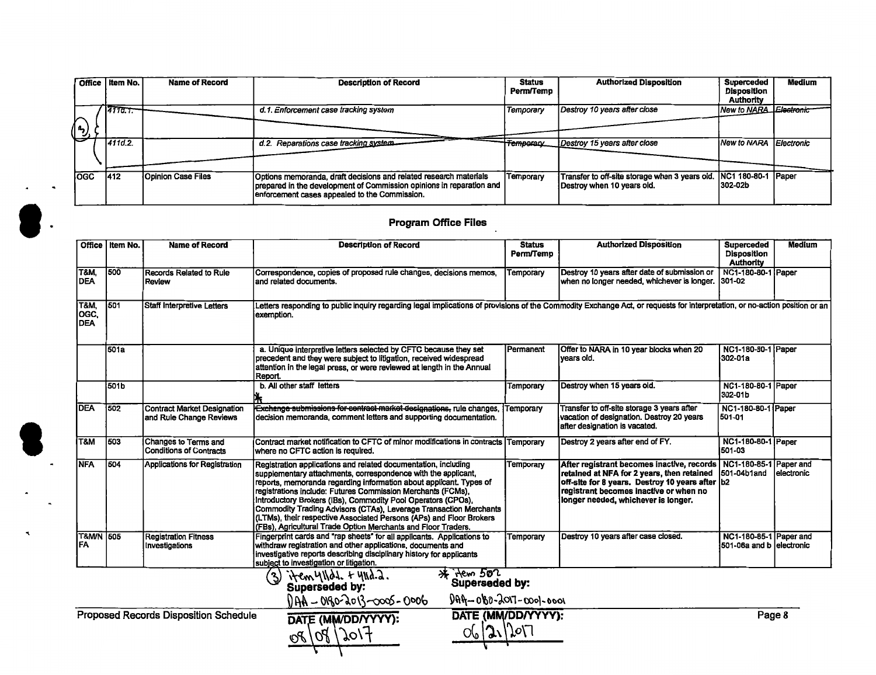|      | Office   Item No. | <b>Name of Record</b>     | <b>Description of Record</b>                                                                                                                                                               | <b>Status</b><br>Perm/Temp | <b>Authorized Disposition</b>                                                | <b>Superceded</b><br>Disposition<br><b>Authority</b> | <b>Medium</b> |
|------|-------------------|---------------------------|--------------------------------------------------------------------------------------------------------------------------------------------------------------------------------------------|----------------------------|------------------------------------------------------------------------------|------------------------------------------------------|---------------|
| ,رم" | 14110.7.          |                           | d.1. Enforcement case tracking system                                                                                                                                                      | Temporary                  | Destroy 10 years after close                                                 | New to NARA Electronic                               |               |
|      | 411d.2.           |                           | d.2. Reparations case tracking system.                                                                                                                                                     | <b>Temporan</b>            | Destroy 15 years after close                                                 | New to NARA                                          | Electronic    |
| logc | 1412              | <b>Opinion Case Files</b> | Options memoranda, draft decisions and related research materials<br>prepared in the development of Commission opinions in reparation and<br>enforcement cases appealed to the Commission. | Temporary                  | Transfer to off-site storage when 3 years old.<br>Destroy when 10 years old. | INC1 180-80-1<br>l302-02b                            | Paper         |

## **Program Office Files**

 $\bullet$ .

|                                       | Office I Item No.                                                                                                                | <b>Name of Record</b>                                  | <b>Description of Record</b>                                                                                                                                                                                                                                                                                                                                                                                                                                                                                                                      | <b>Status</b><br>Perm/Temp | <b>Authorized Disposition</b>                                                                                                                                                                                                | <b>Superceded</b><br><b>Disposition</b><br><b>Authority</b> | Medium      |  |
|---------------------------------------|----------------------------------------------------------------------------------------------------------------------------------|--------------------------------------------------------|---------------------------------------------------------------------------------------------------------------------------------------------------------------------------------------------------------------------------------------------------------------------------------------------------------------------------------------------------------------------------------------------------------------------------------------------------------------------------------------------------------------------------------------------------|----------------------------|------------------------------------------------------------------------------------------------------------------------------------------------------------------------------------------------------------------------------|-------------------------------------------------------------|-------------|--|
| T&M.<br><b>DEA</b>                    | 1500                                                                                                                             | Records Related to Rule<br>Review                      | Correspondence, copies of proposed rule changes, decisions memos,<br>and related documents.                                                                                                                                                                                                                                                                                                                                                                                                                                                       | Temporary                  | Destroy 10 years after date of submission or<br>when no longer needed, whichever is longer.                                                                                                                                  | NC1-180-80-1 Paper<br>301-02                                |             |  |
| <b>T&amp;M.</b><br>OGC.<br><b>DEA</b> | 501                                                                                                                              | Staff Interpretive Letters                             | Letters responding to public inquiry regarding legal implications of provisions of the Commodity Exchange Act, or requests for interpretation, or no-action position or an<br>exemption.                                                                                                                                                                                                                                                                                                                                                          |                            |                                                                                                                                                                                                                              |                                                             |             |  |
|                                       | <b>501a</b>                                                                                                                      |                                                        | a. Unique interpretive letters selected by CFTC because they set<br>precedent and they were subject to litigation, received widespread<br>attention in the legal press, or were reviewed at length in the Annual<br>Report.                                                                                                                                                                                                                                                                                                                       | Permanent                  | Offer to NARA in 10 year blocks when 20<br>vears old.                                                                                                                                                                        | NC1-180-80-1 Paper<br>302-01a                               |             |  |
|                                       | 501b                                                                                                                             |                                                        | b. All other staff letters                                                                                                                                                                                                                                                                                                                                                                                                                                                                                                                        | Temporary                  | Destroy when 15 years old.                                                                                                                                                                                                   | NC1-180-80-1 Paper<br>302-01b                               |             |  |
| <b>DEA</b>                            | 502                                                                                                                              | Contract Market Designation<br>and Rule Change Reviews | Exchange submissions for contract market designations, rule changes,<br>decision memoranda, comment letters and supporting documentation.                                                                                                                                                                                                                                                                                                                                                                                                         | Temporary                  | Transfer to off-site storage 3 years after<br>vacation of designation. Destroy 20 years<br>after designation is vacated.                                                                                                     | NC1-180-80-1 Paper<br>501-01                                |             |  |
| T&M                                   | 503                                                                                                                              | Changes to Terms and<br><b>Conditions of Contracts</b> | Contract market notification to CFTC of minor modifications in contracts Temporary<br>lwhere no CFTC action is required.                                                                                                                                                                                                                                                                                                                                                                                                                          |                            | Destroy 2 years after end of FY.                                                                                                                                                                                             | NC1-180-80-1 Paper<br>501-03                                |             |  |
| <b>NFA</b>                            | 504                                                                                                                              | Applications for Registration                          | Registration applications and related documentation, including<br>supplementary attachments, correspondence with the applicant,<br>reports, memoranda regarding information about applicant. Types of<br>registrations include: Futures Commission Merchants (FCMs).<br>Introductory Brokers (IBs), Commodity Pool Operators (CPOs),<br>Commodity Trading Advisors (CTAs), Leverage Transaction Merchants<br>(LTMs), their respective Associated Persons (APs) and Floor Brokers<br>(FBs), Agricultural Trade Option Merchants and Floor Traders. | Temporary                  | After registrant becomes inactive, records<br>retained at NFA for 2 years, then retained<br>off-site for 8 years. Destroy 10 years after b2<br>registrant becomes inactive or when no<br>longer needed, whichever is longer. | NC1-180-85-1 Paper and<br>501-04b1and                       | lelectronic |  |
| <b>T&amp;M/N 505</b><br>FA            |                                                                                                                                  | <b>Registration Fitness</b><br>Investigations          | Fingerprint cards and "rap sheets" for all applicants. Applications to<br>withdraw registration and other applications, documents and<br>investigative reports describing disciplinary history for applicants<br>subject to investigation or litigation.                                                                                                                                                                                                                                                                                          | Temporary                  | Destroy 10 years after case closed.                                                                                                                                                                                          | NC1-180-85-1 Paper and<br>501-06a and b electronic          |             |  |
|                                       |                                                                                                                                  |                                                        | * : kem 502<br>itemylldd. + 411d.a.<br>(ર)                                                                                                                                                                                                                                                                                                                                                                                                                                                                                                        |                            |                                                                                                                                                                                                                              |                                                             |             |  |
|                                       |                                                                                                                                  |                                                        | $0.000 - 0.007 - 0.000 - 0.001$<br>DAA - 0180-2013-0005-0006                                                                                                                                                                                                                                                                                                                                                                                                                                                                                      |                            |                                                                                                                                                                                                                              |                                                             |             |  |
|                                       | DATE (MM/DD/YYYY):<br>Page 8<br><b>Proposed Records Disposition Schedule</b><br>DATE (MM/DD/YYYY):<br>21/207<br>O(<br>08/08/2017 |                                                        |                                                                                                                                                                                                                                                                                                                                                                                                                                                                                                                                                   |                            |                                                                                                                                                                                                                              |                                                             |             |  |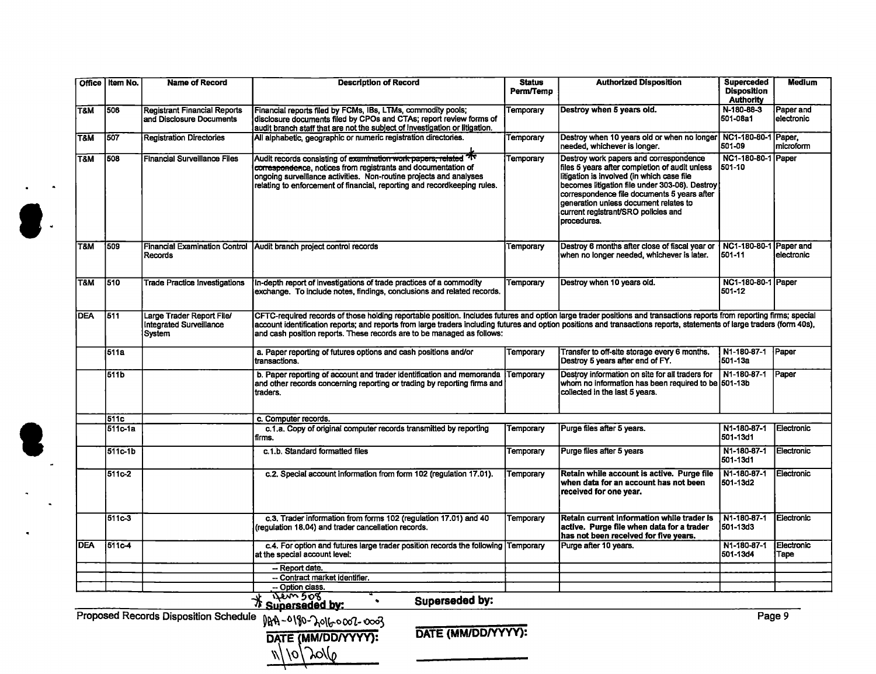|                         | Office   Item No. | <b>Name of Record</b>                                                 | <b>Description of Record</b>                                                                                                                                                                                                                                                                                                                                                                                               | <b>Status</b><br>Perm/Temp | <b>Authorized Disposition</b>                                                                                                                                                                                                                                                                                                          | <b>Superceded</b><br><b>Disposition</b><br><b>Authority</b> | <b>Medium</b>           |  |  |  |
|-------------------------|-------------------|-----------------------------------------------------------------------|----------------------------------------------------------------------------------------------------------------------------------------------------------------------------------------------------------------------------------------------------------------------------------------------------------------------------------------------------------------------------------------------------------------------------|----------------------------|----------------------------------------------------------------------------------------------------------------------------------------------------------------------------------------------------------------------------------------------------------------------------------------------------------------------------------------|-------------------------------------------------------------|-------------------------|--|--|--|
| Т&М                     | 506               | <b>Registrant Financial Reports</b><br>and Disclosure Documents       | Financial reports filed by FCMs, IBs, LTMs, commodity pools;<br>disclosure documents filed by CPOs and CTAs; report review forms of<br>audit branch staff that are not the subject of investigation or litigation.                                                                                                                                                                                                         | Temporary                  | Destroy when 5 years old.                                                                                                                                                                                                                                                                                                              | N-180-88-3<br>501-08a1                                      | Paper and<br>electronic |  |  |  |
| T&M                     | 507               | <b>Registration Directories</b>                                       | All alphabetic, geographic or numeric registration directories.                                                                                                                                                                                                                                                                                                                                                            | Temporary                  | Destroy when 10 years old or when no longer<br>needed, whichever is longer.                                                                                                                                                                                                                                                            | NC1-180-80-1 Paper,<br>501-09                               | microform               |  |  |  |
| $\overline{\text{T8M}}$ | 508               | <b>Financial Surveillance Files</b>                                   | Audit records consisting of examination work papers, related 7<br>correspondence, notices from registrants and documentation of<br>ongoing surveillance activities. Non-routine projects and analyses<br>relating to enforcement of financial, reporting and recordkeeping rules.                                                                                                                                          | Temporary                  | Destroy work papers and correspondence<br>files 5 years after completion of audit unless<br>litigation is involved (in which case file<br>becomes litigation file under 303-06). Destroy<br>correspondence file documents 5 years after<br>generation unless document relates to<br>current registrant/SRO policies and<br>procedures. | NC1-180-80-1 Paper<br>501-10                                |                         |  |  |  |
| T&M                     | 1509              | <b>Financial Examination Control</b><br>Records                       | Audit branch project control records                                                                                                                                                                                                                                                                                                                                                                                       | Temporary                  | Destroy 6 months after close of fiscal year or<br>when no longer needed, whichever is later.                                                                                                                                                                                                                                           | NC1-180-80-1 Paper and<br>501-11                            | lelectronic             |  |  |  |
| T&M                     | 510               | <b>Trade Practice Investigations</b>                                  | In-depth report of investigations of trade practices of a commodity<br>exchange. To include notes, findings, conclusions and related records.                                                                                                                                                                                                                                                                              | Temporary                  | Destroy when 10 years old.                                                                                                                                                                                                                                                                                                             | NC1-180-80-1 Paper<br>501-12                                |                         |  |  |  |
| <b>DEA</b>              | 511               | Large Trader Report File/<br><b>Integrated Surveillance</b><br>System | CFTC-required records of those holding reportable position. Includes futures and option large trader positions and transactions reports from reporting firms; special<br>account identification reports: and reports from large traders including futures and option positions and transactions reports, statements of large traders (form 40s),<br>and cash position reports. These records are to be managed as follows: |                            |                                                                                                                                                                                                                                                                                                                                        |                                                             |                         |  |  |  |
|                         | 511a              |                                                                       | a. Paper reporting of futures options and cash positions and/or<br>transactions.                                                                                                                                                                                                                                                                                                                                           | Temporary                  | Transfer to off-site storage every 6 months.<br>Destroy 5 years after end of FY.                                                                                                                                                                                                                                                       | N1-180-87-1<br>$501 - 13a$                                  | Paper                   |  |  |  |
|                         | 511 <sub>b</sub>  |                                                                       | b. Paper reporting of account and trader identification and memoranda Temporary<br>and other records concerning reporting or trading by reporting firms and<br>traders.                                                                                                                                                                                                                                                    |                            | Destroy information on site for all traders for<br>whom no information has been required to be 501-13b<br>collected in the last 5 years.                                                                                                                                                                                               | N1-180-87-1                                                 | Paper                   |  |  |  |
|                         | 511c              |                                                                       | c. Computer records.                                                                                                                                                                                                                                                                                                                                                                                                       |                            |                                                                                                                                                                                                                                                                                                                                        |                                                             |                         |  |  |  |
|                         | 511c-1a           |                                                                       | c.1.a. Copy of original computer records transmitted by reporting<br>firms.                                                                                                                                                                                                                                                                                                                                                | Temporary                  | Purge files after 5 years.                                                                                                                                                                                                                                                                                                             | N1-180-87-1<br>501-13d1                                     | Electronic              |  |  |  |
|                         | 511c-1b           |                                                                       | c.1.b. Standard formatted files                                                                                                                                                                                                                                                                                                                                                                                            | Temporary                  | Purge files after 5 years                                                                                                                                                                                                                                                                                                              | N1-180-87-1<br>501-13d1                                     | Electronic              |  |  |  |
|                         | 511c-2            |                                                                       | c.2. Special account information from form 102 (regulation 17.01).                                                                                                                                                                                                                                                                                                                                                         | Temporary                  | Retain while account is active. Purge file<br>when data for an account has not been<br>received for one year.                                                                                                                                                                                                                          | N1-180-87-1<br>501-13d2                                     | Electronic              |  |  |  |
|                         | 511c-3            |                                                                       | c.3. Trader information from forms 102 (regulation 17.01) and 40<br>(regulation 18.04) and trader cancellation records.                                                                                                                                                                                                                                                                                                    | Temporary                  | Retain current information while trader is<br>active. Purge file when data for a trader<br>has not been received for five years.                                                                                                                                                                                                       | N1-180-87-1<br>501-13d3                                     | Electronic              |  |  |  |
| <b>DEA</b>              | 511c-4            |                                                                       | c.4. For option and futures large trader position records the following Temporary<br>at the special account level:                                                                                                                                                                                                                                                                                                         |                            | Purge after 10 years.                                                                                                                                                                                                                                                                                                                  | N1-180-87-1<br>501-13d4                                     | Electronic<br>Tape      |  |  |  |
|                         |                   |                                                                       | - Report date.                                                                                                                                                                                                                                                                                                                                                                                                             |                            |                                                                                                                                                                                                                                                                                                                                        |                                                             |                         |  |  |  |
|                         |                   |                                                                       | -- Contract market identifier.                                                                                                                                                                                                                                                                                                                                                                                             |                            |                                                                                                                                                                                                                                                                                                                                        |                                                             |                         |  |  |  |
|                         |                   |                                                                       | -- Option class.<br><u>item 508</u>                                                                                                                                                                                                                                                                                                                                                                                        |                            |                                                                                                                                                                                                                                                                                                                                        |                                                             |                         |  |  |  |
|                         |                   |                                                                       | Superseded by:<br>Superseded by:                                                                                                                                                                                                                                                                                                                                                                                           |                            |                                                                                                                                                                                                                                                                                                                                        |                                                             |                         |  |  |  |

Proposed Records Disposition Schedule  $0 \mu \Lambda - 0.1$   $0 \nu \Lambda$  or  $\Omega$  and  $\Omega$  on  $\Omega$ 

**Q** 

,.

DATE (MM/DD/YYYY): **DATE (MM/DD/YYYY):**  $\frac{1}{\sqrt{2}}$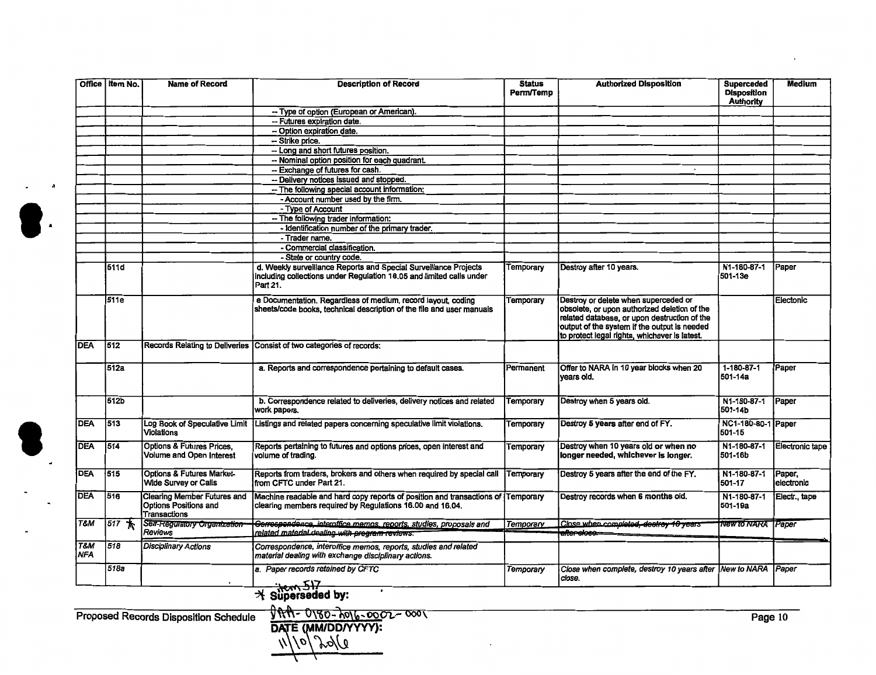| Office                       | Item No. | <b>Name of Record</b>                                                              | <b>Description of Record</b>                                                                                                                         | <b>Status</b><br><b>Perm/Temp</b> | <b>Authorized Disposition</b>                                                                                                                                                                                                         | <b>Superceded</b><br><b>Disposition</b><br><b>Authority</b> | Medium               |
|------------------------------|----------|------------------------------------------------------------------------------------|------------------------------------------------------------------------------------------------------------------------------------------------------|-----------------------------------|---------------------------------------------------------------------------------------------------------------------------------------------------------------------------------------------------------------------------------------|-------------------------------------------------------------|----------------------|
|                              |          |                                                                                    | -- Type of option (European or American).                                                                                                            |                                   |                                                                                                                                                                                                                                       |                                                             |                      |
|                              |          |                                                                                    | -- Futures expiration date.                                                                                                                          |                                   |                                                                                                                                                                                                                                       |                                                             |                      |
|                              |          |                                                                                    | -- Option expiration date.                                                                                                                           |                                   |                                                                                                                                                                                                                                       |                                                             |                      |
|                              |          |                                                                                    | -- Strike price.                                                                                                                                     |                                   |                                                                                                                                                                                                                                       |                                                             |                      |
|                              |          |                                                                                    | -- Long and short futures position.                                                                                                                  |                                   |                                                                                                                                                                                                                                       |                                                             |                      |
|                              |          |                                                                                    | -- Nominal option position for each quadrant.                                                                                                        |                                   |                                                                                                                                                                                                                                       |                                                             |                      |
|                              |          |                                                                                    | -- Exchange of futures for cash.                                                                                                                     |                                   |                                                                                                                                                                                                                                       |                                                             |                      |
|                              |          |                                                                                    | -- Delivery notices issued and stopped.                                                                                                              |                                   |                                                                                                                                                                                                                                       |                                                             |                      |
|                              |          |                                                                                    | -- The following special account information:                                                                                                        |                                   |                                                                                                                                                                                                                                       |                                                             |                      |
|                              |          |                                                                                    | - Account number used by the firm.                                                                                                                   |                                   |                                                                                                                                                                                                                                       |                                                             |                      |
|                              |          |                                                                                    | - Type of Account                                                                                                                                    |                                   |                                                                                                                                                                                                                                       |                                                             |                      |
|                              |          |                                                                                    | -- The following trader information:                                                                                                                 |                                   |                                                                                                                                                                                                                                       |                                                             |                      |
|                              |          |                                                                                    | - Identification number of the primary trader.                                                                                                       |                                   |                                                                                                                                                                                                                                       |                                                             |                      |
|                              |          |                                                                                    | - Trader name.                                                                                                                                       |                                   |                                                                                                                                                                                                                                       |                                                             |                      |
|                              |          |                                                                                    | - Commercial classification.                                                                                                                         |                                   |                                                                                                                                                                                                                                       |                                                             |                      |
|                              |          |                                                                                    | - State or country code.                                                                                                                             |                                   |                                                                                                                                                                                                                                       |                                                             |                      |
|                              | 511d     |                                                                                    | d. Weekly surveillance Reports and Special Surveillance Projects<br>including collections under Regulation 18.05 and limited calls under<br>Part 21. | Temporary                         | Destroy after 10 years.                                                                                                                                                                                                               | N1-180-87-1<br>501-13e                                      | Paper                |
|                              | 511e     |                                                                                    | e Documentation. Regardless of medium, record layout, coding<br>sheets/code books, technical description of the file and user manuals                | Temporary                         | Destroy or delete when superceded or<br>obsolete, or upon authorized deletion of the<br>related database, or upon destruction of the<br>output of the system if the output is needed<br>to protect legal rights, whichever is latest. |                                                             | Electonic            |
| <b>DEA</b>                   | 512      |                                                                                    | Records Relating to Deliveries Consist of two categories of records:                                                                                 |                                   |                                                                                                                                                                                                                                       |                                                             |                      |
|                              | 512a     |                                                                                    | a. Reports and correspondence pertaining to default cases.                                                                                           | Permanent                         | Offer to NARA in 10 year blocks when 20<br>vears old.                                                                                                                                                                                 | 1-180-87-1<br>l501-14a                                      | Paper                |
|                              | 512b     |                                                                                    | b. Correspondence related to deliveries, delivery notices and related<br>work papers.                                                                | Temporary                         | Destroy when 5 years old.                                                                                                                                                                                                             | N1-180-87-1<br>501-14b                                      | Paper                |
| <b>DEA</b>                   | 513      | Log Book of Speculative Limit<br><b>Violations</b>                                 | Listings and related papers concerning speculative limit violations.                                                                                 | Temporary                         | Destroy 5 years after end of FY.                                                                                                                                                                                                      | NC1-180-80-1 Paper<br>501-15                                |                      |
| <b>DEA</b>                   | 514      | <b>Options &amp; Futures Prices,</b><br><b>Volume and Open Interest</b>            | Reports pertaining to futures and options prices, open interest and<br>volume of trading.                                                            | Temporary                         | Destroy when 10 years old or when no<br>longer needed, whichever is longer.                                                                                                                                                           | N1-180-87-1<br>501-16b                                      | Electronic tape      |
| DEA                          | 515      | <b>Options &amp; Futures Market-</b><br><b>Wide Survey or Calls</b>                | Reports from traders, brokers and others when required by special call<br>from CFTC under Part 21.                                                   | Temporary                         | Destroy 5 years after the end of the FY.                                                                                                                                                                                              | N1-180-87-1<br>501-17                                       | Paper,<br>electronic |
| <b>DEA</b>                   | 516      | <b>Clearing Member Futures and</b><br>Options Positions and<br><b>Transactions</b> | Machine readable and hard copy reports of position and transactions of Temporary<br>clearing members required by Regulations 16.00 and 16.04.        |                                   | Destroy records when 6 months old.                                                                                                                                                                                                    | N1-180-87-1<br>501-19a                                      | Electr., tape        |
| T&M                          | $517 *$  | Self-Regulatory Organization<br><b>Reviews</b>                                     | Gerrespendence, interoffice memos, reports, studies, proposals and<br>related material dealing with program reviews.                                 | Temporary                         | Close when completed, deatroy 10 years<br><del>after sloso.</del> =                                                                                                                                                                   | <b>New to NARA</b> Paper                                    |                      |
| <b>T&amp;M</b><br><b>NFA</b> | 518      | <b>Disciplinary Actions</b>                                                        | Correspondence, interoffice memos, reports, studies and related<br>material dealing with exchange disciplinary actions.                              |                                   |                                                                                                                                                                                                                                       |                                                             |                      |
|                              | 518a     |                                                                                    | a. Paper records retained by CFTC<br>$\rightarrow$ Superseded by:                                                                                    | Temporary                         | Close when complete, destroy 10 years after New to NARA Paper<br>close.                                                                                                                                                               |                                                             |                      |

 $\bullet$ .

Proposed Records Disposition Schedule  $\sqrt{9.60}$   $\sqrt{9.60}$   $\sqrt{9.60}$   $\sqrt{9.60}$   $\sqrt{9.60}$   $\sqrt{9.60}$   $\sqrt{9.60}$   $\sqrt{9.60}$   $\sqrt{9.60}$   $\sqrt{9.60}$   $\sqrt{9.60}$   $\sqrt{9.60}$   $\sqrt{9.60}$   $\sqrt{9.60}$   $\sqrt{9.60}$   $\sqrt{9.60}$   $\sqrt{9.6$ DATE (MM/DD/YYYY**)**:  $11/10/20/10$